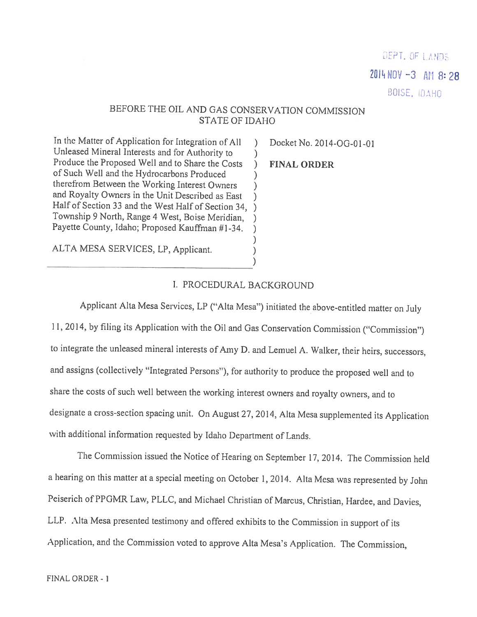DEPT. OF LANDS  $2014 N0V - 3$  AM 8:28 BUISE, IDAHO

# BEFORE THE OIL AND GAS CONSERVATION COMMISSION STATE OF IDAHO

In the Matter of Application for Integration of All ) Docket No. 2014-OG-01-01<br>
Unleased Mineral Interests and for Authority to )<br>
Produce the Proposed Well and to Share the Costs ) FINAL ORDER<br>
of Such Well and the Hydroc

)<br>ALTA MESA SERVICES, LP, Applicant.

#### I. PROCEDURAL BACKGROUND

Applicant Alta Mesa Services, LP ("Alta Mesa") initiated the above-entitled matter on July 11, 2014, by filing its Application with the Oil and Gas Conservation Commission ("Commission") to integrate the unleased mineral interests of Amy D. and Lemuel A. Walker, their heirs, successors, and assigns (collectively "Integrated Persons"), for authority to produce the proposed well and to share the costs of such well between the working interest owners and royalty owners, and to designate <sup>a</sup> cross-section spacing unit. On August 27, 2014, Alta Mesa supplemented its Application with additional information requested by Idaho Department of Lands.

The Commission issued the Notice of Hearing on September 17, 2014. The Commission held <sup>a</sup> hearing on this matter at <sup>a</sup> special meeting on October 1, 2014. Alta Mesa was represented by John Peiserich of PPGMR Law, PLLC, and Michael Christian of Marcus, Christian, Hardee, and Davies, LLP. Alta Mesa presented testimony and offered exhibits to the Commission in support of its Application, and the Commission voted to approve Alta Mesa's Application. The Commission,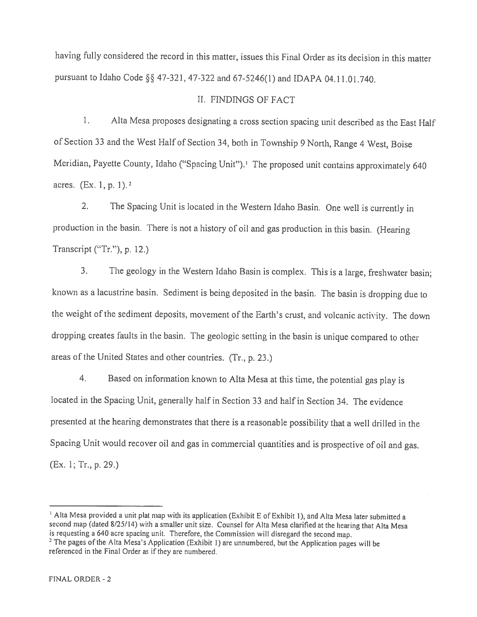having fully considered the record in this matter, issues this Final Order as its decision in this matter pursuant to Idaho Code §§ 47-321, 47-322 and 67-5246(1) and IDAPA 04.11.01.740.

### II. FINDINGS OF FACT

1. Alta Mesa proposes designating a cross section spacing unit described as the East Half of Section <sup>33</sup> and the West Half of Section 34, both in Township <sup>9</sup> North, Range <sup>4</sup> West, Boise Meridian, Payette County, Idaho ("Spacing Unit").<sup>1</sup> The proposed unit contains approximately 640 acres.  $(Ex, 1, p, 1)$ .

2. The Spacing Unit is located in the Western Idaho Basin. One well is currently in production in the basin. There is not <sup>a</sup> history of oil and gas production in this basin. (Hearing Transcript ("Tr."), p. 12.)

3. The geology in the Western Idaho Basin is complex. This is <sup>a</sup> large, freshwater basin; known as <sup>a</sup> lacustrine basin. Sediment is being deposited in the basin. The basin is dropping due to the weight of the sediment deposits, movement of the Earth's crust, and volcanic activity. The down dropping creates faults in the basin. The geologic setting in the basin is unique compared to other areas of the United States and other countries. (Tr., p. 23.)

4. Based on information known to Alta Mesa at this time, the potential gas <sup>p</sup>lay is located in the Spacing Unit, generally half in Section <sup>33</sup> and half in Section 34. The evidence presented at the hearing demonstrates that there is <sup>a</sup> reasonable possibility that <sup>a</sup> well drilled in the Spacing Unit would recover oil and gas in commercial quantities and is prospective of oil and gas. (Ex. 1; Tr., p. 29.)

<sup>&</sup>lt;sup>1</sup> Alta Mesa provided a unit plat map with its application (Exhibit E of Exhibit 1), and Alta Mesa later submitted a second map (dated 8/25/14) with a smaller unit size. Counsel for Alta Mesa clarified at the hearing that Alta Mesa<br>is requesting a 640 acre spacing unit. Therefore, the Commission will disregard the second map.

<sup>&</sup>lt;sup>2</sup> The pages of the Alta Mesa's Application (Exhibit 1) are unnumbered, but the Application pages will be referenced in the Final Order as if they are numbered,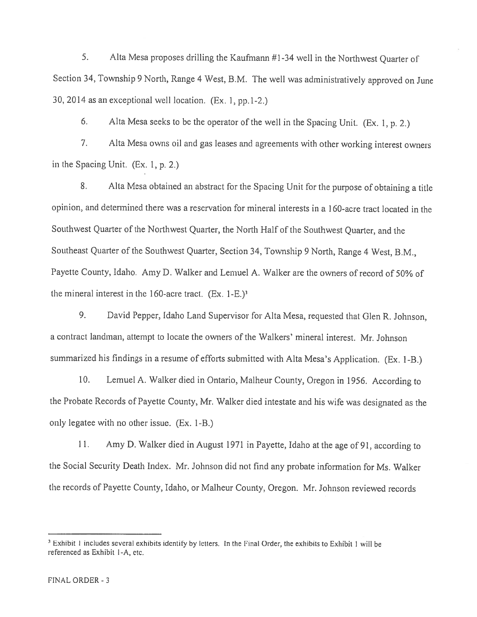5. Alta Mesa proposes drilling the Kaufmann #1-34 well in the Northwest Quarter of Section 34, Township <sup>9</sup> North, Range <sup>4</sup> West, B.M. The well was administratively approved on June 30. <sup>2014</sup> as an exceptional well location. (Ex. 1, pp. <sup>1</sup>-2.)

6. Alta Mesa seeks to be the operator of the well in the Spacing Unit. (Ex. 1, p. 2.)

7. Alta Mesa owns oil and gas leases and agreements with other working interest owners in the Spacing Unit. (Ex. 1, p. 2.)

8. Alta Mesa obtained an abstract for the Spacing Unit for the purpose of obtaining <sup>a</sup> title opinion, and determined there was <sup>a</sup> reservation for mineral interests in <sup>a</sup> I 60-acre tract located in the Southwest Quarter of the Northwest Quarter, the North Half of the Southwest Quarter, and the Southeast Quarter of the Southwest Quarter, Section 34. Township <sup>9</sup> North, Range <sup>4</sup> West, B.M., Payette County, Idaho. Amy D. Walker and Lemuel A. Walker are the owners of record of 50% of the mineral interest in the 160-acre tract.  $(Ex. 1-E.)^3$ 

9. David Pepper, Idaho Land Supervisor for Alta Mesa, requested that Glen R. Johnson, <sup>a</sup> contract landman, attempt to locate the owners of the Walkers' mineral interest. Mr. Johnson summarized his findings in <sup>a</sup> resume of efforts submitted with Alta Mesa's Application. (Ex. 1-B.)

10. Lemuel A. Walker died in Ontario, Maiheur County, Oregon in 1956. According to the Probate Records of Payette County, Mr. Walker died intestate and his wife was designated as the only legatee with no other issue. (Ex. I-B.)

11. Amy D. Walker died in August <sup>1971</sup> in Payette, Idaho at the age of 91, according to the Social Security Death Index. Mr. Johnson did not find any probate information for Ms. Walker the records of Payette County, Idaho, or Maiheur County, Oregon. Mr. Johnson reviewed records

<sup>&</sup>lt;sup>3</sup> Exhibit 1 includes several exhibits identify by letters. In the Final Order, the exhibits to Exhibit 1 will be referenced as Exhibit I-A, etc.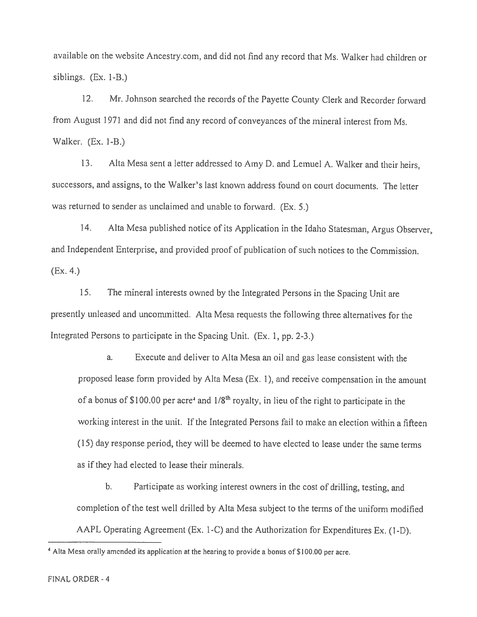available on the website Ancestry.com, and did not find any record that Ms. Walker had children or siblings. (Ex. 1-B.)

12. Mr. Johnson searched the records of the Payette County Clerk and Recorder forward from August 1971 and did not find any record of conveyances of the mineral interest from Ms. Walker. (Ex. 1-B.)

13. Alta Mesa sent <sup>a</sup> letter addressed to Amy D. and Lemuel A. Walker and their heirs, successors, and assigns, to the Walker's last known address found on court documents. The letter was returned to sender as unclaimed and unable to forward. (Ex. 5.)

14. Alta Mesa published notice of its Application in the Idaho Statesman, Argus Observer, and Independent Enterprise, and provided proo<sup>f</sup> of publication of such notices to the Commission. (Ex. 4.)

15. The mineral interests owned by the Integrated Persons in the Spacing Unit are presently unleased and uncommitted. Alta Mesa requests the following three alternatives for the Integrated Persons to participate in the Spacing Unit. (Ex. 1, pp. 2-3.)

a. Execute and deliver to Alta Mesa an oil and gas lease consistent with the propose<sup>d</sup> lease form provided by Alta Mesa (Ex. 1), and receive compensation in the amount of a bonus of \$100.00 per acre<sup>4</sup> and  $1/8<sup>th</sup>$  royalty, in lieu of the right to participate in the working interest in the unit. If the Integrated Persons fail to make an election within <sup>a</sup> fifteen (15) day response period, they will be deemed to have elected to lease under the same terms as ifthey had elected to lease their minerals.

b. Participate as working interest owners in the cost of drilling, testing, and completion of the test well drilled by Alta Mesa subject to the terms of the uniform modified AAPL Operating Agreement (Ex. 1-C) and the Authorization for Expenditures Ex. (1-D).

<sup>&</sup>lt;sup>4</sup> Alta Mesa orally amended its application at the hearing to provide a bonus of \$100.00 per acre.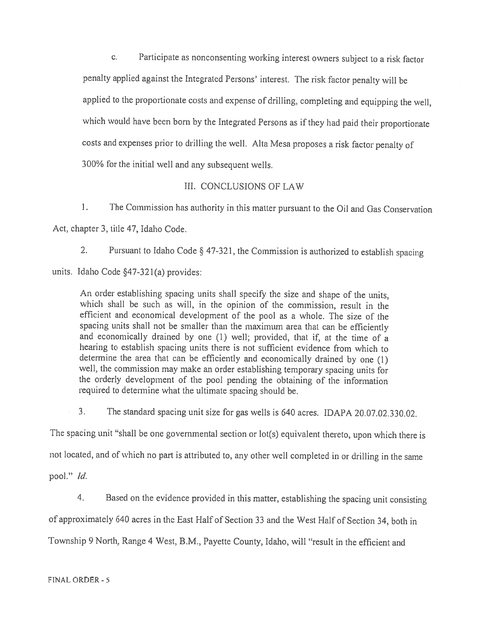C. Participate as nonconsenting working interest owners subject to <sup>a</sup> risk factor penalty applied against the Integrated Persons' interest. The risk factor penalty will be applied to the proportionate costs and expense of drilling, completing and equipping the well, which would have been born by the Integrated Persons as if they had paid their proportionate costs and expenses prior to drilling the well. Alta Mesa proposes <sup>a</sup> risk factor penalty of 300% for the initial well and any subsequent wells.

### III. CONCLUSIONS OF LAW

1. The Commission has authority in this matter pursuant to the Oil and Gas Conservation Act, chapter 3, title 47, Idaho Code.

2. Pursuant to Idaho Code § 47-321, the Commission is authorized to establish spacing units. Idaho Code §47-321(a) provides:

An order establishing spacing units shall specify the size and shape of the units, which shall be such as will, in the opinion of the commission, result in the efficient and economical development of the poo<sup>l</sup> as <sup>a</sup> whole. The size of the spacing units shall not be smaller than the maximum area that can be efficiently and economically drained by one (1) well; provided, that if, at the time of <sup>a</sup> hearing to establish spacing units there is not sufficient evidence from which to determine the area that can be efficiently and economically drained by one (1) well, the commission may make an order establishing temporary spacing units for the orderly development of the poo<sup>i</sup> pending the obtaining of the information required to determine what the ultimate spacing should be.

3. The standard spacing unit size for gas wells is <sup>640</sup> acres. IDAPA 20.07.02.330.02.

The spacing unit "shall be one governmental section or lot(s) equivalent thereto, upon which there is not located, and of <sup>w</sup>'hich no part is attributed to, any other well completed in or drilling in the same pool." Id.

4. Based on the evidence provided in this matter, establishing the spacing unit consisting of approximately <sup>640</sup> acres in the East Half of Section <sup>33</sup> and the West Half of Section 34, both in Township 9 North, Range <sup>4</sup> West, B.M., Payette County, Idaho, will "result in the efficient and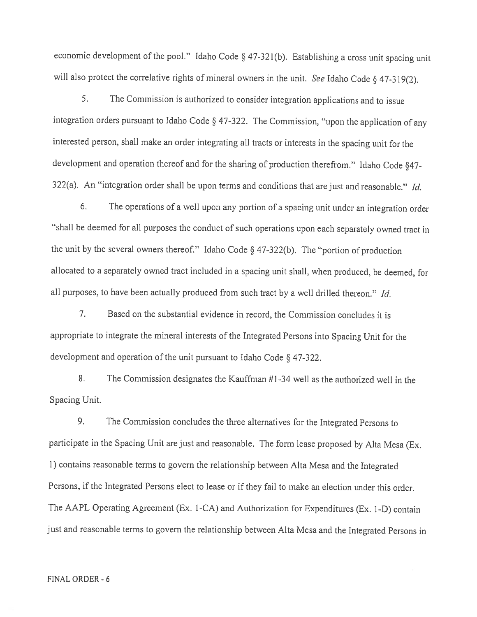economic development of the pooi." Idaho Code § 47-321(b). Establishing <sup>a</sup> cross unit spacing unit will also protect the correlative rights of mineral owners in the unit. See Idaho Code § 47-319(2).

5. The Commission is authorized to consider integration applications and to issue integration orders pursuant to Idaho Code § 47-322. The Commission, "upon the application of any interested person, shall make an order integrating all tracts or interests in the spacing unit for the development and operation thereof and for the sharing of production therefrom." Idaho Code §47- 322(a). An "integration order shall be upon terms and conditions that are just and reasonable." Id.

6. The operations of <sup>a</sup> well upon any portion of <sup>a</sup> spacing unit under an integration order "shall be deemed for all purposes the conduct of such operations upon each separately owned tract in the unit by the several owners thereof." Idaho Code § 47-322(b). The "portion of production allocated to <sup>a</sup> separately owned tract included in <sup>a</sup> spacing unit shall, when produced, be deemed, for all purposes, to have been actually produced from such tract by a well drilled thereon." Id.

7. Based on the substantial evidence in record, the Commission concludes it is appropriate to integrate the mineral interests of the Integrated Persons into Spacing Unit for the development and operation of the unit pursuant to Idaho Code § 47-322.

8. The Commission designates the Kauffman #1-34 well as the authorized well in the Spacing Unit.

9. The Commission concludes the three alternatives for the Integrated Persons to participate in the Spacing Unit are just and reasonable. The form lease proposed by Alta Mesa (Ex. 1) contains reasonable terms to govern the relationship between Alta Mesa and the Integrated Persons, if the Integrated Persons elect to lease or if they fail to make an election under this order. The AAPL Operating Agreement (Ex. 1-CA) and Authorization for Expenditures (Ex. 1-D) contain just and reasonable terms to govern the relationship between Alta Mesa and the Integrated Persons in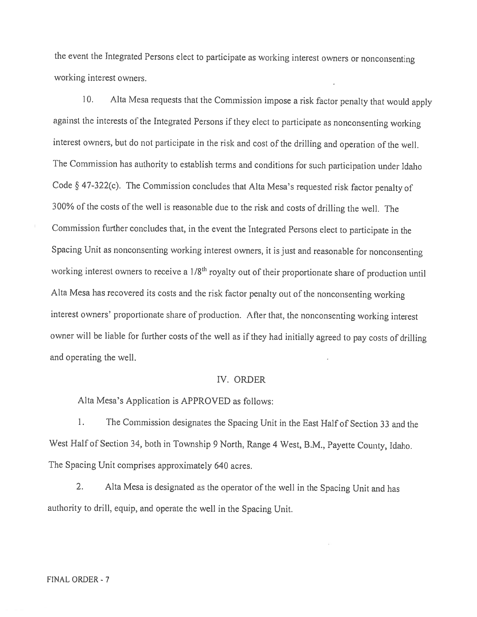the event the Integrated Persons elect to participate as working interest owners or nonconsenting working interest owners.

10. Alta Mesa requests that the Commission impose a risk factor penalty that would apply against the interests of the Integrated Persons if they elect to participate as nonconsenting working interest owners, but do not participate in the risk and cost of the drilling and operation of the well. The Commission has authority to establish terms and conditions for such participation under Idaho Code § 47-322(c). The Commission concludes that Alta Mesa's requested risk factor penalty of <sup>3</sup>OO9oof the costs of the well is reasonable due to the risk and costs of drilling the well. The Commission further concludes that, in the event the Integrated Persons elect to participate in the Spacing Unit as nonconsenting working interest owners, it is just and reasonable for nonconsenting working interest owners to receive a 1/8<sup>th</sup> royalty out of their proportionate share of production until Alta Mesa has recovered its costs and the risk factor penalty out of the nonconsenting working interest owners' proportionate share of production. After that, the nonconsenting working interest owner will be liable for further costs of the well as if they had initially agreed to pay costs of drilling and operating the well.

#### IV. ORDER

Alta Mesa's Application is APPROVED as follows:

I. The Commission designates the Spacing Unit in the East Half of Section <sup>33</sup> and the West Half of Section 34, both in Township <sup>9</sup> North, Range <sup>4</sup> West, B.M., Payette County, Idaho. The Spacing Unit comprises approximately <sup>640</sup> acres.

2. Alta Mesa is designated as the operator of the well in the Spacing Unit and has authority to drill, equip, and operate the well in the Spacing Unit.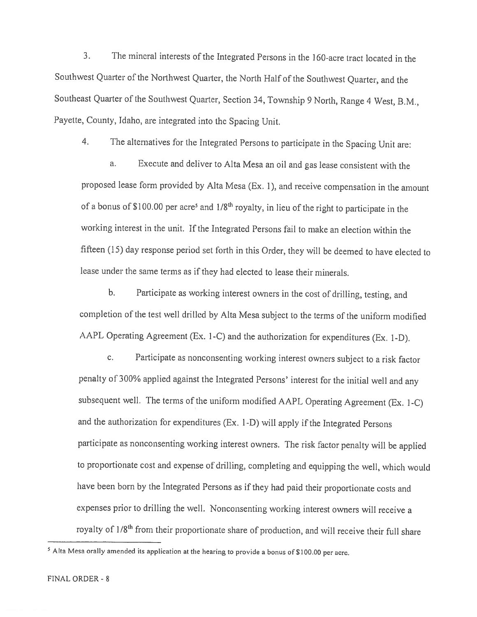3. The mineral interests of the Integrated Persons in the 160-acre tract located in the Southwest Quarter of the Northwest Quarter, the North Half of the Southwest Quarter, and the Southeast Quarter of the Southwest Quarter, Section 34, Township <sup>9</sup> North, Range <sup>4</sup> West, B,M., Payette, County, Idaho, are integrated into the Spacing Unit.

4. The alternatives for the Integrated Persons to participate in the Spacing Unit are:

a. Execute and deliver to Alta Mesa an oil and gas lease consistent with the proposed lease form provided by Alta Mesa (Ex. 1), and receive compensation in the amount of a bonus of \$100.00 per acre<sup>5</sup> and  $1/8<sup>th</sup>$  royalty, in lieu of the right to participate in the working interest in the unit. If the Integrated Persons fail to make an election within the fifteen (15) day response period set forth in this Order, they will be deemed to have elected to lease under the same terms as if they had elected to lease their minerals.

b. Participate as working interest owners in the cost of drilling, testing, and completion of the test well drilled by Alta Mesa subject to the terms of the uniform modified AAPL Operating Agreement (Ex. 1-C) and the authorization for expenditures (Ex. l-D).

c. Participate as nonconsenting working interest owners subject to <sup>a</sup> risk factor penalty of 300% applied against the Integrated Persons' interest for the initial well and any subsequent well. The terms of the uniform modified AAPL Operating Agreement (Ex. 1-C) and the authorization for expenditures (Ex. <sup>I</sup> -D) will apply if the Integrated Persons participate as noneonsenting working interest owners. The risk factor penalty will be applied to proportionate cost and expense of drilling, completing and equipping the well, which would have been born by the Integrated Persons as if they had paid their proportionate costs and expenses prior to drilling the well. Nonconsenting working interest owners will receive <sup>a</sup> royalty of 1/8<sup>th</sup> from their proportionate share of production, and will receive their full share

 $<sup>5</sup>$  Alta Mesa orally amended its application at the hearing to provide a bonus of \$100.00 per acre.</sup>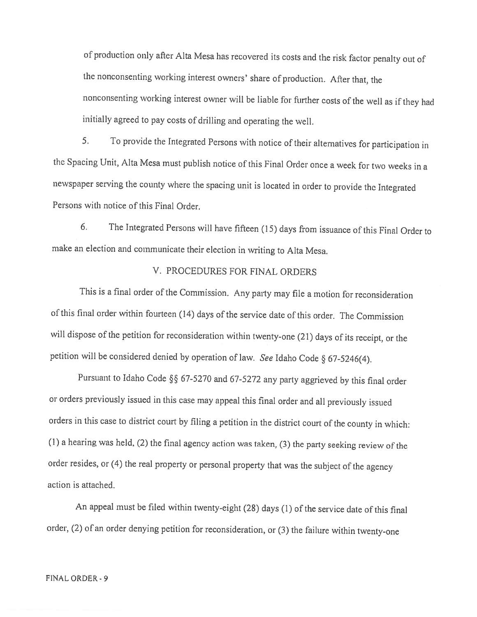of production only after Alta Mesa has recovered its costs and the risk factor penalty out of the nonconsenting working interest owners' share of production. After that, the nonconsenting working interest owner will be liable for further costs of the well as if they had initially agreed to pay costs of drilling and operating the well.

5. To provide the Integrated Persons with notice of their alternatives for participation in the Spacing Unit, Alta Mesa must publish notice of this Final Order once <sup>a</sup> week for two weeks in <sup>a</sup> newspaper serving the county where the spacing unit is located in order to provide the Integrated Persons with notice of this Final Order.

6. The Integrated Persons will have fifteen (15) days from issuance of this Final Order to make an election and communicate their election in writing to Alta Mesa.

## V. PROCEDURES FOR FiNAL ORDERS

This is <sup>a</sup> final order of the Commission. Any party may file <sup>a</sup> motion for reconsideration of this final order within fourteen (14) days of the service date of this order. The Commission will dispose of the petition for reconsideration within twenty-one (21) days of its receipt, or the petition will be considered denied by operation of law. See Idaho Code § 67-5246(4).

Pursuant to Idaho Code  $\S$ § 67-5270 and 67-5272 any party aggrieved by this final order or orders previously issued in this case may appeal this final order and all previously issued orders in this case to district court by filing <sup>a</sup> petition in the district court of the county in which: (1) <sup>a</sup> hearing was held, (2) the final agency action was taken, (3) the party seeking review of the order resides, or (4) the real property or personal property that was the subject of the agency action is attached.

An appeal must be filed within twenty-eight (28) days (1) of the service date of this final order, (2) of an order denying petition for reconsideration, or (3) the failure within twenty-one